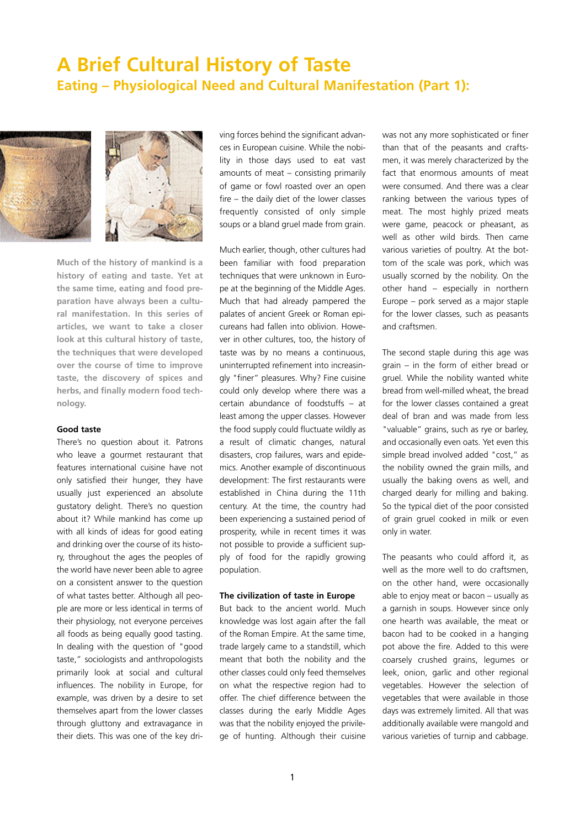# **A Brief Cultural History of Taste Eating – Physiological Need and Cultural Manifestation (Part 1):**



**Much of the history of mankind is a history of eating and taste. Yet at the same time, eating and food preparation have always been a cultural manifestation. In this series of articles, we want to take a closer look at this cultural history of taste, the techniques that were developed over the course of time to improve taste, the discovery of spices and herbs, and finally modern food technology.** 

### **Good taste**

There's no question about it. Patrons who leave a gourmet restaurant that features international cuisine have not only satisfied their hunger, they have usually just experienced an absolute gustatory delight. There's no question about it? While mankind has come up with all kinds of ideas for good eating and drinking over the course of its history, throughout the ages the peoples of the world have never been able to agree on a consistent answer to the question of what tastes better. Although all people are more or less identical in terms of their physiology, not everyone perceives all foods as being equally good tasting. In dealing with the question of "good taste," sociologists and anthropologists primarily look at social and cultural influences. The nobility in Europe, for example, was driven by a desire to set themselves apart from the lower classes through gluttony and extravagance in their diets. This was one of the key driving forces behind the significant advances in European cuisine. While the nobility in those days used to eat vast amounts of meat – consisting primarily of game or fowl roasted over an open fire – the daily diet of the lower classes frequently consisted of only simple soups or a bland gruel made from grain.

Much earlier, though, other cultures had been familiar with food preparation techniques that were unknown in Europe at the beginning of the Middle Ages. Much that had already pampered the palates of ancient Greek or Roman epicureans had fallen into oblivion. However in other cultures, too, the history of taste was by no means a continuous, uninterrupted refinement into increasingly "finer" pleasures. Why? Fine cuisine could only develop where there was a certain abundance of foodstuffs – at least among the upper classes. However the food supply could fluctuate wildly as a result of climatic changes, natural disasters, crop failures, wars and epidemics. Another example of discontinuous development: The first restaurants were established in China during the 11th century. At the time, the country had been experiencing a sustained period of prosperity, while in recent times it was not possible to provide a sufficient supply of food for the rapidly growing population.

#### **The civilization of taste in Europe**

But back to the ancient world. Much knowledge was lost again after the fall of the Roman Empire. At the same time, trade largely came to a standstill, which meant that both the nobility and the other classes could only feed themselves on what the respective region had to offer. The chief difference between the classes during the early Middle Ages was that the nobility enjoyed the privilege of hunting. Although their cuisine was not any more sophisticated or finer than that of the peasants and craftsmen, it was merely characterized by the fact that enormous amounts of meat were consumed. And there was a clear ranking between the various types of meat. The most highly prized meats were game, peacock or pheasant, as well as other wild birds. Then came various varieties of poultry. At the bottom of the scale was pork, which was usually scorned by the nobility. On the other hand – especially in northern Europe – pork served as a major staple for the lower classes, such as peasants and craftsmen.

The second staple during this age was grain – in the form of either bread or gruel. While the nobility wanted white bread from well-milled wheat, the bread for the lower classes contained a great deal of bran and was made from less "valuable" grains, such as rye or barley, and occasionally even oats. Yet even this simple bread involved added "cost," as the nobility owned the grain mills, and usually the baking ovens as well, and charged dearly for milling and baking. So the typical diet of the poor consisted of grain gruel cooked in milk or even only in water.

The peasants who could afford it, as well as the more well to do craftsmen. on the other hand, were occasionally able to enjoy meat or bacon – usually as a garnish in soups. However since only one hearth was available, the meat or bacon had to be cooked in a hanging pot above the fire. Added to this were coarsely crushed grains, legumes or leek, onion, garlic and other regional vegetables. However the selection of vegetables that were available in those days was extremely limited. All that was additionally available were mangold and various varieties of turnip and cabbage.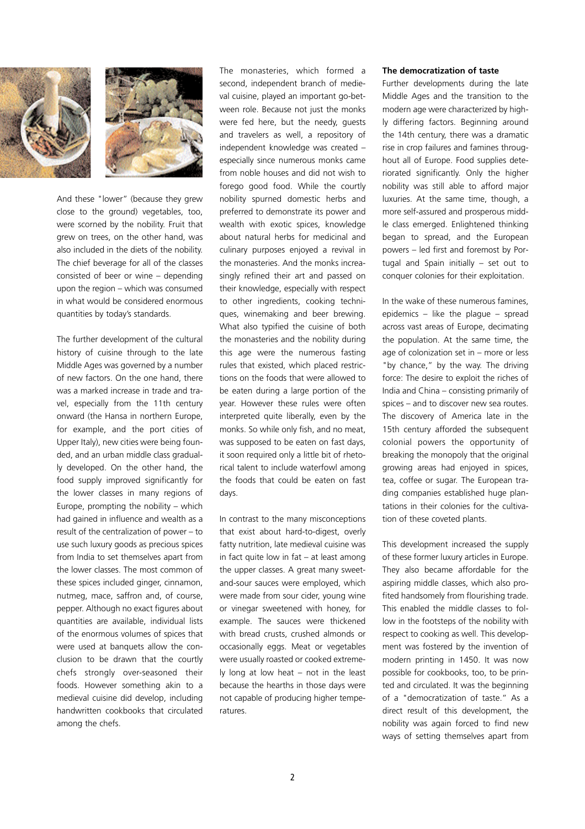



And these "lower" (because they grew close to the ground) vegetables, too, were scorned by the nobility. Fruit that grew on trees, on the other hand, was also included in the diets of the nobility. The chief beverage for all of the classes consisted of beer or wine – depending upon the region – which was consumed in what would be considered enormous quantities by today's standards.

The further development of the cultural history of cuisine through to the late Middle Ages was governed by a number of new factors. On the one hand, there was a marked increase in trade and travel, especially from the 11th century onward (the Hansa in northern Europe, for example, and the port cities of Upper Italy), new cities were being founded, and an urban middle class gradually developed. On the other hand, the food supply improved significantly for the lower classes in many regions of Europe, prompting the nobility  $-$  which had gained in influence and wealth as a result of the centralization of power – to use such luxury goods as precious spices from India to set themselves apart from the lower classes. The most common of these spices included ginger, cinnamon, nutmeg, mace, saffron and, of course, pepper. Although no exact figures about quantities are available, individual lists of the enormous volumes of spices that were used at banquets allow the conclusion to be drawn that the courtly chefs strongly over-seasoned their foods. However something akin to a medieval cuisine did develop, including handwritten cookbooks that circulated among the chefs.

The monasteries, which formed a second, independent branch of medieval cuisine, played an important go-between role. Because not just the monks were fed here, but the needy, guests and travelers as well, a repository of independent knowledge was created – especially since numerous monks came from noble houses and did not wish to forego good food. While the courtly nobility spurned domestic herbs and preferred to demonstrate its power and wealth with exotic spices, knowledge about natural herbs for medicinal and culinary purposes enjoyed a revival in the monasteries. And the monks increasingly refined their art and passed on their knowledge, especially with respect to other ingredients, cooking techniques, winemaking and beer brewing. What also typified the cuisine of both the monasteries and the nobility during this age were the numerous fasting rules that existed, which placed restrictions on the foods that were allowed to be eaten during a large portion of the year. However these rules were often interpreted quite liberally, even by the monks. So while only fish, and no meat, was supposed to be eaten on fast days, it soon required only a little bit of rhetorical talent to include waterfowl among the foods that could be eaten on fast days.

In contrast to the many misconceptions that exist about hard-to-digest, overly fatty nutrition, late medieval cuisine was in fact quite low in fat – at least among the upper classes. A great many sweetand-sour sauces were employed, which were made from sour cider, young wine or vinegar sweetened with honey, for example. The sauces were thickened with bread crusts, crushed almonds or occasionally eggs. Meat or vegetables were usually roasted or cooked extremely long at low heat – not in the least because the hearths in those days were not capable of producing higher temperatures.

#### **The democratization of taste**

Further developments during the late Middle Ages and the transition to the modern age were characterized by highly differing factors. Beginning around the 14th century, there was a dramatic rise in crop failures and famines throughout all of Europe. Food supplies deteriorated significantly. Only the higher nobility was still able to afford major luxuries. At the same time, though, a more self-assured and prosperous middle class emerged. Enlightened thinking began to spread, and the European powers – led first and foremost by Portugal and Spain initially – set out to conquer colonies for their exploitation.

In the wake of these numerous famines, epidemics  $-$  like the plague  $-$  spread across vast areas of Europe, decimating the population. At the same time, the age of colonization set in – more or less "by chance," by the way. The driving force: The desire to exploit the riches of India and China – consisting primarily of spices – and to discover new sea routes. The discovery of America late in the 15th century afforded the subsequent colonial powers the opportunity of breaking the monopoly that the original growing areas had enjoyed in spices, tea, coffee or sugar. The European trading companies established huge plantations in their colonies for the cultivation of these coveted plants.

This development increased the supply of these former luxury articles in Europe. They also became affordable for the aspiring middle classes, which also profited handsomely from flourishing trade. This enabled the middle classes to follow in the footsteps of the nobility with respect to cooking as well. This development was fostered by the invention of modern printing in 1450. It was now possible for cookbooks, too, to be printed and circulated. It was the beginning of a "democratization of taste." As a direct result of this development, the nobility was again forced to find new ways of setting themselves apart from